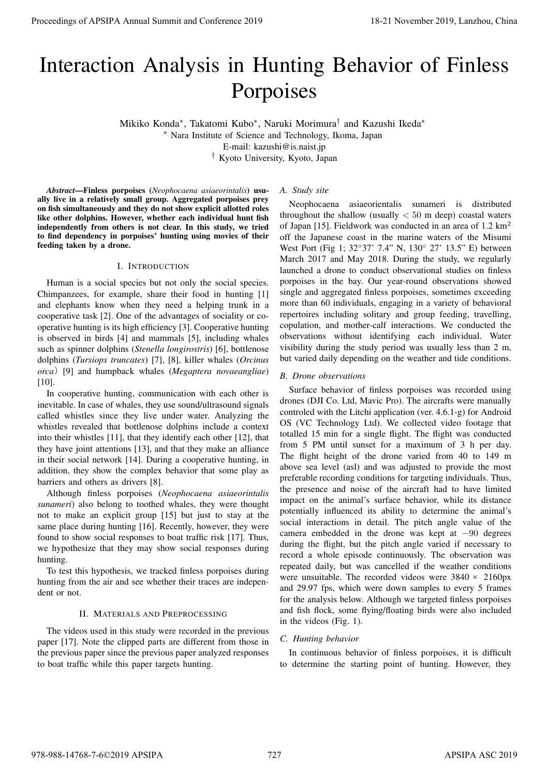# Interaction Analysis in Hunting Behavior of Finless Porpoises

Mikiko Konda*<sup>∗</sup>* , Takatomi Kubo*<sup>∗</sup>* , Naruki Morimura*†* and Kazushi Ikeda*<sup>∗</sup>*

*<sup>∗</sup>* Nara Institute of Science and Technology, Ikoma, Japan

E-mail: kazushi@is.naist.jp

*†* Kyoto University, Kyoto, Japan

*Abstract*—Finless porpoises (*Neophocaena asiaeorintalis*) usually live in a relatively small group. Aggregated porpoises prey on fish simultaneously and they do not show explicit allotted roles like other dolphins. However, whether each individual hunt fish independently from others is not clear. In this study, we tried to find dependency in porpoises' hunting using movies of their feeding taken by a drone.

## I. INTRODUCTION

Human is a social species but not only the social species. Chimpanzees, for example, share their food in hunting [1] and elephants know when they need a helping trunk in a cooperative task [2]. One of the advantages of sociality or cooperative hunting is its high efficiency [3]. Cooperative hunting is observed in birds [4] and mammals [5], including whales such as spinner dolphins (*Stenella longirostris*) [6], bottlenose dolphins (*Tursiops truncates*) [7], [8], killer whales (*Orcinus orca*)[9] and humpback whales (*Megaptera novaeangliae*) [10].

In cooperative hunting, communication with each other is inevitable. In case of whales, they use sound/ultrasound signals called whistles since they live under water. Analyzing the whistles revealed that bottlenose dolphins include a context into their whistles [11], that they identify each other [12], that they have joint attentions [13], and that they make an alliance in their social network [14]. During a cooperative hunting, in addition, they show the complex behavior that some play as barriers and others as drivers [8].

Although finless porpoises (*Neophocaena asiaeorintalis sunameri*) also belong to toothed whales, they were thought not to make an explicit group [15] but just to stay at the same place during hunting [16]. Recently, however, they were found to show social responses to boat traffic risk [17]. Thus, we hypothesize that they may show social responses during hunting.

To test this hypothesis, we tracked finless porpoises during hunting from the air and see whether their traces are independent or not.

# II. MATERIALS AND PREPROCESSING

The videos used in this study were recorded in the previous paper [17]. Note the clipped parts are different from those in the previous paper since the previous paper analyzed responses to boat traffic while this paper targets hunting.

## *A. Study site*

Neophocaena asiaeorientalis sunameri is distributed throughout the shallow (usually *<* 50 m deep) coastal waters of Japan [15]. Fieldwork was conducted in an area of 1.2 km<sup>2</sup> off the Japanese coast in the marine waters of the Misumi West Port (Fig 1; 32*◦*37' 7.4" N, 130*◦* 27' 13.5" E) between March 2017 and May 2018. During the study, we regularly launched a drone to conduct observational studies on finless porpoises in the bay. Our year-round observations showed single and aggregated finless porpoises, sometimes exceeding more than 60 individuals, engaging in a variety of behavioral repertoires including solitary and group feeding, travelling, copulation, and mother-calf interactions. We conducted the observations without identifying each individual. Water visibility during the study period was usually less than 2 m, but varied daily depending on the weather and tide conditions.

## *B. Drone observations*

Surface behavior of finless porpoises was recorded using drones (DJI Co. Ltd, Mavic Pro). The aircrafts were manually controled with the Litchi application (ver. 4.6.1-g) for Android OS (VC Technology Ltd). We collected video footage that totalled 15 min for a single flight. The flight was conducted from 5 PM until sunset for a maximum of 3 h per day. The flight height of the drone varied from 40 to 149 m above sea level (asl) and was adjusted to provide the most preferable recording conditions for targeting individuals. Thus, the presence and noise of the aircraft had to have limited impact on the animal's surface behavior, while its distance potentially influenced its ability to determine the animal's social interactions in detail. The pitch angle value of the camera embedded in the drone was kept at *−*90 degrees during the flight, but the pitch angle varied if necessary to record a whole episode continuously. The observation was repeated daily, but was cancelled if the weather conditions were unsuitable. The recorded videos were  $3840 \times 2160px$ and 29.97 fps, which were down samples to every 5 frames for the analysis below. Although we targeted finless porpoises and fish flock, some flying/floating birds were also included in the videos (Fig. 1). Proceedings of APSIPA Annual Summit and Conference 2019<br> **Proceedings Proceedings of APSIPA Annual Summit and Conference 2019**<br> **Proceeding and Conference 2019**<br> **Proceeding and Conference 2019**<br> **Proceeding and Confere** 

# *C. Hunting behavior*

In continuous behavior of finless porpoises, it is difficult to determine the starting point of hunting. However, they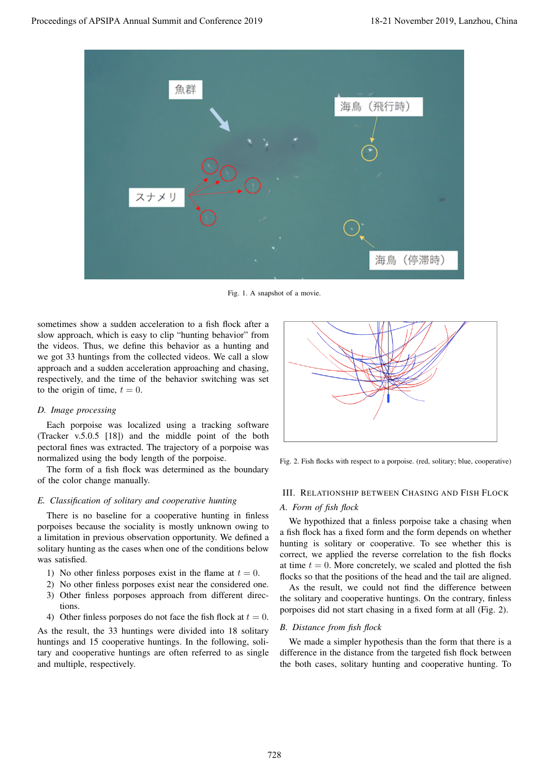

Fig. 1. A snapshot of a movie.

sometimes show a sudden acceleration to a fish flock after a slow approach, which is easy to clip "hunting behavior" from the videos. Thus, we define this behavior as a hunting and we got 33 huntings from the collected videos. We call a slow approach and a sudden acceleration approaching and chasing, respectively, and the time of the behavior switching was set to the origin of time,  $t = 0$ .

## *D. Image processing*

Each porpoise was localized using a tracking software (Tracker v.5.0.5 [18]) and the middle point of the both pectoral fines was extracted. The trajectory of a porpoise was normalized using the body length of the porpoise.

The form of a fish flock was determined as the boundary of the color change manually.

## *E. Classification of solitary and cooperative hunting*

There is no baseline for a cooperative hunting in finless porpoises because the sociality is mostly unknown owing to a limitation in previous observation opportunity. We defined a solitary hunting as the cases when one of the conditions below was satisfied.

- 1) No other finless porposes exist in the flame at  $t = 0$ .
- 2) No other finless porposes exist near the considered one.
- 3) Other finless porposes approach from different directions.
- 4) Other finless porposes do not face the fish flock at  $t = 0$ .

As the result, the 33 huntings were divided into 18 solitary huntings and 15 cooperative huntings. In the following, solitary and cooperative huntings are often referred to as single and multiple, respectively.



Fig. 2. Fish flocks with respect to a porpoise. (red, solitary; blue, cooperative)

## III. RELATIONSHIP BETWEEN CHASING AND FISH FLOCK

#### *A. Form of fish flock*

We hypothized that a finless porpoise take a chasing when a fish flock has a fixed form and the form depends on whether hunting is solitary or cooperative. To see whether this is correct, we applied the reverse correlation to the fish flocks at time  $t = 0$ . More concretely, we scaled and plotted the fish flocks so that the positions of the head and the tail are aligned.

As the result, we could not find the difference between the solitary and cooperative huntings. On the contrary, finless porpoises did not start chasing in a fixed form at all (Fig. 2).

#### *B. Distance from fish flock*

We made a simpler hypothesis than the form that there is a difference in the distance from the targeted fish flock between the both cases, solitary hunting and cooperative hunting. To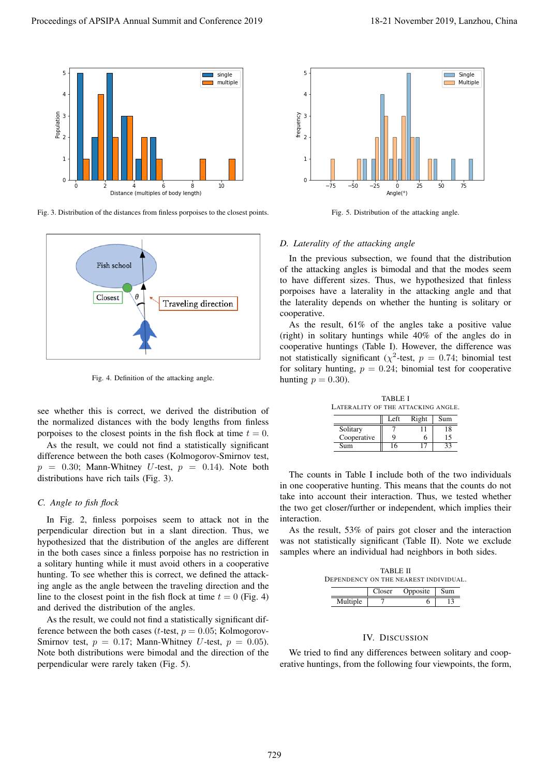

Fig. 3. Distribution of the distances from finless porpoises to the closest points.



Fig. 4. Definition of the attacking angle.

see whether this is correct, we derived the distribution of the normalized distances with the body lengths from finless porpoises to the closest points in the fish flock at time  $t = 0$ .

As the result, we could not find a statistically significant difference between the both cases (Kolmogorov-Smirnov test,  $p = 0.30$ ; Mann-Whitney *U*-test,  $p = 0.14$ ). Note both distributions have rich tails (Fig. 3).

# *C. Angle to fish flock*

In Fig. 2, finless porpoises seem to attack not in the perpendicular direction but in a slant direction. Thus, we hypothesized that the distribution of the angles are different in the both cases since a finless porpoise has no restriction in a solitary hunting while it must avoid others in a cooperative hunting. To see whether this is correct, we defined the attacking angle as the angle between the traveling direction and the line to the closest point in the fish flock at time  $t = 0$  (Fig. 4) and derived the distribution of the angles.

As the result, we could not find a statistically significant difference between the both cases (*t*-test,  $p = 0.05$ ; Kolmogorov-Smirnov test,  $p = 0.17$ ; Mann-Whitney *U*-test,  $p = 0.05$ ). Note both distributions were bimodal and the direction of the perpendicular were rarely taken (Fig. 5).



Fig. 5. Distribution of the attacking angle.

#### *D. Laterality of the attacking angle*

In the previous subsection, we found that the distribution of the attacking angles is bimodal and that the modes seem to have different sizes. Thus, we hypothesized that finless porpoises have a laterality in the attacking angle and that the laterality depends on whether the hunting is solitary or cooperative.

As the result, 61% of the angles take a positive value (right) in solitary huntings while 40% of the angles do in cooperative huntings (Table I). However, the difference was not statistically significant ( $\chi^2$ -test,  $p = 0.74$ ; binomial test for solitary hunting,  $p = 0.24$ ; binomial test for cooperative hunting  $p = 0.30$ ).

TABLE I LATERALITY OF THE ATTACKING ANGLE.

|             | Left | Right | Sum |
|-------------|------|-------|-----|
| Solitary    |      |       | 18  |
| Cooperative |      | n     | 15  |
| Sum         |      |       |     |

The counts in Table I include both of the two individuals in one cooperative hunting. This means that the counts do not take into account their interaction. Thus, we tested whether the two get closer/further or independent, which implies their interaction.

As the result, 53% of pairs got closer and the interaction was not statistically significant (Table II). Note we exclude samples where an individual had neighbors in both sides.

| TABLE II<br>DEPENDENCY ON THE NEAREST INDIVIDUAL. |  |                       |  |  |
|---------------------------------------------------|--|-----------------------|--|--|
|                                                   |  | Closer Opposite   Sum |  |  |
| Multiple                                          |  |                       |  |  |

#### IV. DISCUSSION

We tried to find any differences between solitary and cooperative huntings, from the following four viewpoints, the form,